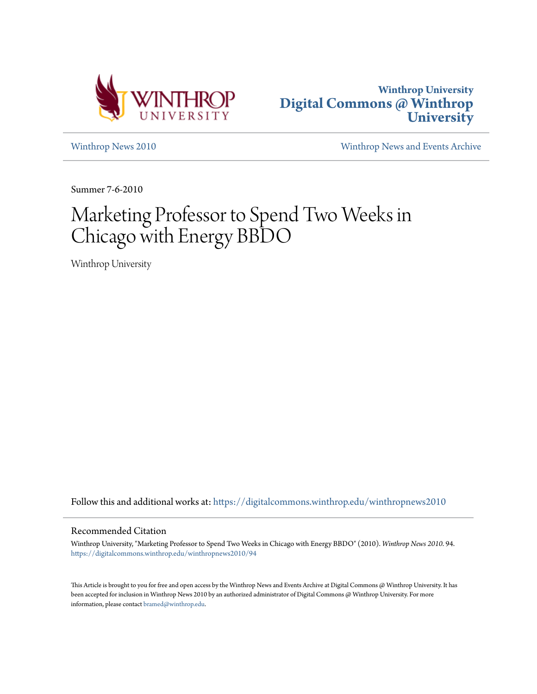



[Winthrop News 2010](https://digitalcommons.winthrop.edu/winthropnews2010?utm_source=digitalcommons.winthrop.edu%2Fwinthropnews2010%2F94&utm_medium=PDF&utm_campaign=PDFCoverPages) [Winthrop News and Events Archive](https://digitalcommons.winthrop.edu/winthropnewsarchives?utm_source=digitalcommons.winthrop.edu%2Fwinthropnews2010%2F94&utm_medium=PDF&utm_campaign=PDFCoverPages)

Summer 7-6-2010

# Marketing Professor to Spend Two Weeks in Chicago with Energy BBDO

Winthrop University

Follow this and additional works at: [https://digitalcommons.winthrop.edu/winthropnews2010](https://digitalcommons.winthrop.edu/winthropnews2010?utm_source=digitalcommons.winthrop.edu%2Fwinthropnews2010%2F94&utm_medium=PDF&utm_campaign=PDFCoverPages)

### Recommended Citation

Winthrop University, "Marketing Professor to Spend Two Weeks in Chicago with Energy BBDO" (2010). *Winthrop News 2010*. 94. [https://digitalcommons.winthrop.edu/winthropnews2010/94](https://digitalcommons.winthrop.edu/winthropnews2010/94?utm_source=digitalcommons.winthrop.edu%2Fwinthropnews2010%2F94&utm_medium=PDF&utm_campaign=PDFCoverPages)

This Article is brought to you for free and open access by the Winthrop News and Events Archive at Digital Commons @ Winthrop University. It has been accepted for inclusion in Winthrop News 2010 by an authorized administrator of Digital Commons @ Winthrop University. For more information, please contact [bramed@winthrop.edu](mailto:bramed@winthrop.edu).